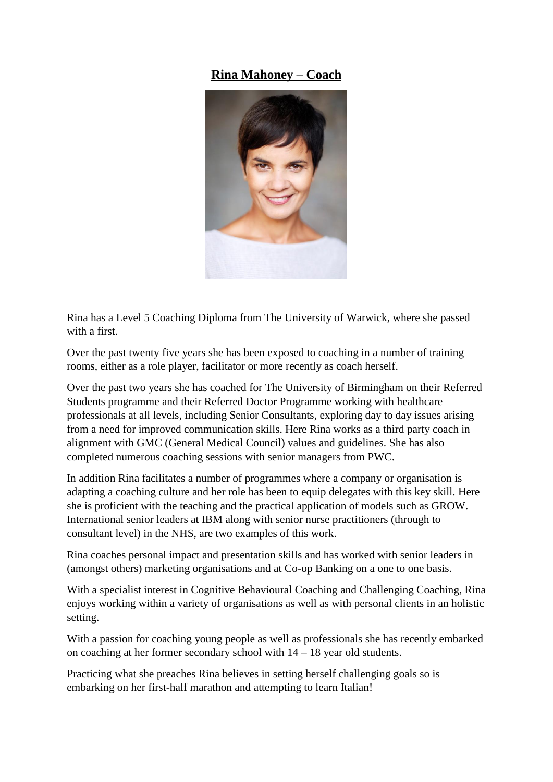## **Rina Mahoney – Coach**



Rina has a Level 5 Coaching Diploma from The University of Warwick, where she passed with a first.

Over the past twenty five years she has been exposed to coaching in a number of training rooms, either as a role player, facilitator or more recently as coach herself.

Over the past two years she has coached for The University of Birmingham on their Referred Students programme and their Referred Doctor Programme working with healthcare professionals at all levels, including Senior Consultants, exploring day to day issues arising from a need for improved communication skills. Here Rina works as a third party coach in alignment with GMC (General Medical Council) values and guidelines. She has also completed numerous coaching sessions with senior managers from PWC.

In addition Rina facilitates a number of programmes where a company or organisation is adapting a coaching culture and her role has been to equip delegates with this key skill. Here she is proficient with the teaching and the practical application of models such as GROW. International senior leaders at IBM along with senior nurse practitioners (through to consultant level) in the NHS, are two examples of this work.

Rina coaches personal impact and presentation skills and has worked with senior leaders in (amongst others) marketing organisations and at Co-op Banking on a one to one basis.

With a specialist interest in Cognitive Behavioural Coaching and Challenging Coaching, Rina enjoys working within a variety of organisations as well as with personal clients in an holistic setting.

With a passion for coaching young people as well as professionals she has recently embarked on coaching at her former secondary school with 14 – 18 year old students.

Practicing what she preaches Rina believes in setting herself challenging goals so is embarking on her first-half marathon and attempting to learn Italian!